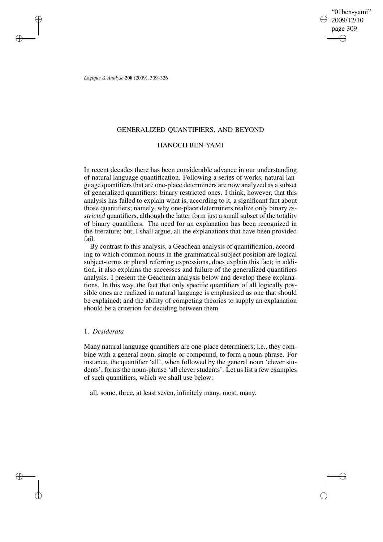"01ben-yami" 2009/12/10 page 309 ✐ ✐

✐

✐

*Logique & Analyse* **208** (2009), 309–326

✐

✐

✐

✐

## GENERALIZED QUANTIFIERS, AND BEYOND

# HANOCH BEN-YAMI

In recent decades there has been considerable advance in our understanding of natural language quantification. Following a series of works, natural language quantifiers that are one-place determiners are now analyzed as a subset of generalized quantifiers: binary restricted ones. I think, however, that this analysis has failed to explain what is, according to it, a significant fact about those quantifiers; namely, why one-place determiners realize only binary *restricted* quantifiers, although the latter form just a small subset of the totality of binary quantifiers. The need for an explanation has been recognized in the literature; but, I shall argue, all the explanations that have been provided fail.

By contrast to this analysis, a Geachean analysis of quantification, according to which common nouns in the grammatical subject position are logical subject-terms or plural referring expressions, does explain this fact; in addition, it also explains the successes and failure of the generalized quantifiers analysis. I present the Geachean analysis below and develop these explanations. In this way, the fact that only specific quantifiers of all logically possible ones are realized in natural language is emphasized as one that should be explained; and the ability of competing theories to supply an explanation should be a criterion for deciding between them.

## 1. *Desiderata*

Many natural language quantifiers are one-place determiners; i.e., they combine with a general noun, simple or compound, to form a noun-phrase. For instance, the quantifier 'all', when followed by the general noun 'clever students', forms the noun-phrase 'all clever students'. Let us list a few examples of such quantifiers, which we shall use below:

all, some, three, at least seven, infinitely many, most, many.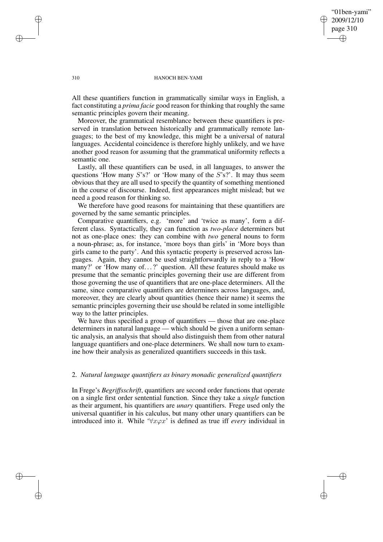"01ben-yami" 2009/12/10 page 310 ✐ ✐

✐

✐

### 310 HANOCH BEN-YAMI

All these quantifiers function in grammatically similar ways in English, a fact constituting a *prima facie* good reason for thinking that roughly the same semantic principles govern their meaning.

Moreover, the grammatical resemblance between these quantifiers is preserved in translation between historically and grammatically remote languages; to the best of my knowledge, this might be a universal of natural languages. Accidental coincidence is therefore highly unlikely, and we have another good reason for assuming that the grammatical uniformity reflects a semantic one.

Lastly, all these quantifiers can be used, in all languages, to answer the questions 'How many  $S$ 's?' or 'How many of the  $S$ 's?'. It may thus seem obvious that they are all used to specify the quantity of something mentioned in the course of discourse. Indeed, first appearances might mislead; but we need a good reason for thinking so.

We therefore have good reasons for maintaining that these quantifiers are governed by the same semantic principles.

Comparative quantifiers, e.g. 'more' and 'twice as many', form a different class. Syntactically, they can function as *two-place* determiners but not as one-place ones: they can combine with *two* general nouns to form a noun-phrase; as, for instance, 'more boys than girls' in 'More boys than girls came to the party'. And this syntactic property is preserved across languages. Again, they cannot be used straightforwardly in reply to a 'How many?' or 'How many of...?' question. All these features should make us presume that the semantic principles governing their use are different from those governing the use of quantifiers that are one-place determiners. All the same, since comparative quantifiers are determiners across languages, and, moreover, they are clearly about quantities (hence their name) it seems the semantic principles governing their use should be related in some intelligible way to the latter principles.

We have thus specified a group of quantifiers — those that are one-place determiners in natural language — which should be given a uniform semantic analysis, an analysis that should also distinguish them from other natural language quantifiers and one-place determiners. We shall now turn to examine how their analysis as generalized quantifiers succeeds in this task.

### 2. *Natural language quantifiers as binary monadic generalized quantifiers*

In Frege's *Begriffsschrift*, quantifiers are second order functions that operate on a single first order sentential function. Since they take a *single* function as their argument, his quantifiers are *unary* quantifiers. Frege used only the universal quantifier in his calculus, but many other unary quantifiers can be introduced into it. While ' $\forall x \varphi x$ ' is defined as true iff *every* individual in

✐

✐

✐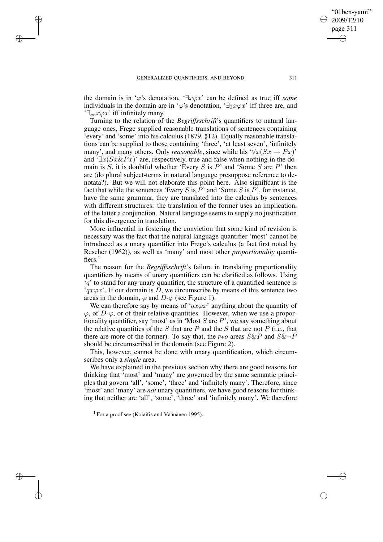✐

✐

✐

the domain is in ' $\varphi$ 's denotation, ' $\exists x \varphi x$ ' can be defined as true iff *some* individuals in the domain are in ' $\varphi$ 's denotation, ' $\exists_3 x \varphi x$ ' iff three are, and  $\exists_{\infty} x \varphi x$ ' iff infinitely many.

Turning to the relation of the *Begriffsschrift*'s quantifiers to natural language ones, Frege supplied reasonable translations of sentences containing 'every' and 'some' into his calculus (1879, §12). Equally reasonable translations can be supplied to those containing 'three', 'at least seven', 'infinitely many', and many others. Only *reasonable*, since while his ' $\forall x (Sx \rightarrow Px)$ ' and ' $\exists x(Sx\&Px)$ ' are, respectively, true and false when nothing in the domain is  $S$ , it is doubtful whether 'Every  $S$  is  $P$ ' and 'Some  $S$  are  $P$ ' then are (do plural subject-terms in natural language presuppose reference to denotata?). But we will not elaborate this point here. Also significant is the fact that while the sentences 'Every S is  $\overline{P}$ ' and 'Some S is  $\overline{P}$ ', for instance, have the same grammar, they are translated into the calculus by sentences with different structures: the translation of the former uses an implication, of the latter a conjunction. Natural language seems to supply no justification for this divergence in translation.

More influential in fostering the conviction that some kind of revision is necessary was the fact that the natural language quantifier 'most' cannot be introduced as a unary quantifier into Frege's calculus (a fact first noted by Rescher (1962)), as well as 'many' and most other *proportionality* quantifiers. $<sup>1</sup>$ </sup>

The reason for the *Begriffsschrift*'s failure in translating proportionality quantifiers by means of unary quantifiers can be clarified as follows. Using  $'q'$  to stand for any unary quantifier, the structure of a quantified sentence is ' $qx\varphi x'$ . If our domain is D, we circumscribe by means of this sentence two areas in the domain,  $\varphi$  and  $D-\varphi$  (see Figure 1).

We can therefore say by means of ' $qx\varphi x$ ' anything about the quantity of  $\varphi$ , of  $D-\varphi$ , or of their relative quantities. However, when we use a proportionality quantifier, say 'most' as in 'Most  $S$  are  $P$ ', we say something about the relative quantities of the S that are P and the S that are not P (i.e., that there are more of the former). To say that, the *two* areas  $S\&P$  and  $S\&\neg P$ should be circumscribed in the domain (see Figure 2).

This, however, cannot be done with unary quantification, which circumscribes only a *single* area.

We have explained in the previous section why there are good reasons for thinking that 'most' and 'many' are governed by the same semantic principles that govern 'all', 'some', 'three' and 'infinitely many'. Therefore, since 'most' and 'many' are *not* unary quantifiers, we have good reasons for thinking that neither are 'all', 'some', 'three' and 'infinitely many'. We therefore

"01ben-yami" 2009/12/10 page 311

✐

✐

✐

<sup>1</sup> For a proof see (Kolaitis and Väänänen 1995).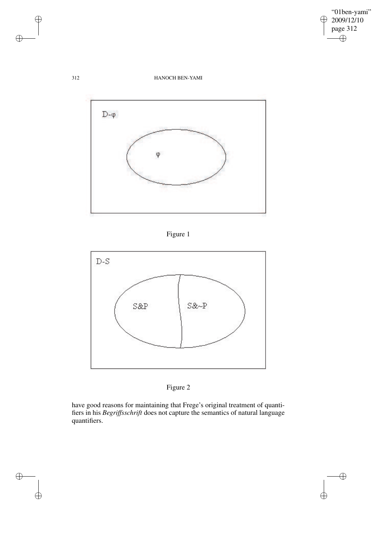

 $\bigoplus$ 

 $\bigoplus$ 

## 312 HANOCH BEN-YAMI









have good reasons for maintaining that Frege's original treatment of quantifiers in his *Begriffsschrift* does not capture the semantics of natural language quantifiers.

 $\bigoplus$ 

 $\oplus$ 

 $\bigoplus$ 

 $\bigoplus$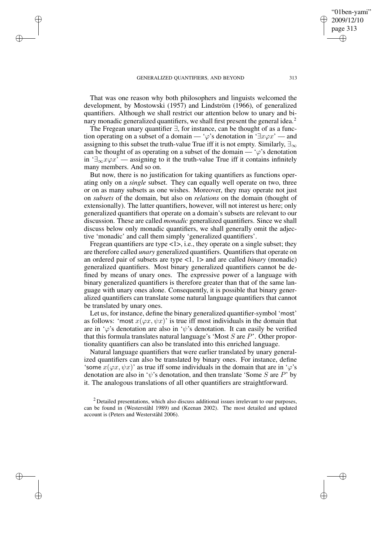✐

✐

✐

That was one reason why both philosophers and linguists welcomed the development, by Mostowski (1957) and Lindström (1966), of generalized quantifiers. Although we shall restrict our attention below to unary and binary monadic generalized quantifiers, we shall first present the general idea.<sup>2</sup>

The Fregean unary quantifier ∃, for instance, can be thought of as a function operating on a subset of a domain — ' $\varphi$ 's denotation in ' $\exists x \varphi x$ ' — and assigning to this subset the truth-value True iff it is not empty. Similarly,  $\exists_{\infty}$ can be thought of as operating on a subset of the domain —  $\varphi$ 's denotation in ' $\exists_{\infty} x \varphi x$ ' — assigning to it the truth-value True iff it contains infinitely many members. And so on.

But now, there is no justification for taking quantifiers as functions operating only on a *single* subset. They can equally well operate on two, three or on as many subsets as one wishes. Moreover, they may operate not just on *subsets* of the domain, but also on *relations* on the domain (thought of extensionally). The latter quantifiers, however, will not interest us here; only generalized quantifiers that operate on a domain's subsets are relevant to our discussion. These are called *monadic* generalized quantifiers. Since we shall discuss below only monadic quantifiers, we shall generally omit the adjective 'monadic' and call them simply 'generalized quantifiers'.

Fregean quantifiers are type  $\langle 1 \rangle$ , i.e., they operate on a single subset; they are therefore called *unary* generalized quantifiers. Quantifiers that operate on an ordered pair of subsets are type <1, 1> and are called *binary* (monadic) generalized quantifiers. Most binary generalized quantifiers cannot be defined by means of unary ones. The expressive power of a language with binary generalized quantifiers is therefore greater than that of the same language with unary ones alone. Consequently, it is possible that binary generalized quantifiers can translate some natural language quantifiers that cannot be translated by unary ones.

Let us, for instance, define the binary generalized quantifier-symbol 'most' as follows: 'most  $x(\varphi x, \psi x)$ ' is true iff most individuals in the domain that are in ' $\varphi$ 's denotation are also in ' $\psi$ 's denotation. It can easily be verified that this formula translates natural language's 'Most  $S$  are  $P$ '. Other proportionality quantifiers can also be translated into this enriched language.

Natural language quantifiers that were earlier translated by unary generalized quantifiers can also be translated by binary ones. For instance, define 'some  $x(\varphi x, \psi x)$ ' as true iff some individuals in the domain that are in ' $\varphi$ 's denotation are also in ' $\psi$ 's denotation, and then translate 'Some S are P' by it. The analogous translations of all other quantifiers are straightforward.

"01ben-yami" 2009/12/10 page 313

✐

✐

✐

 $2$  Detailed presentations, which also discuss additional issues irrelevant to our purposes, can be found in (Westerståhl 1989) and (Keenan 2002). The most detailed and updated account is (Peters and Westerståhl 2006).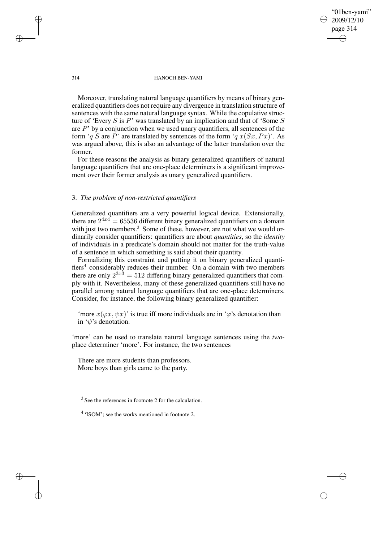"01ben-yami" 2009/12/10 page 314 ✐ ✐

✐

✐

#### 314 HANOCH BEN-YAMI

Moreover, translating natural language quantifiers by means of binary generalized quantifiers does not require any divergence in translation structure of sentences with the same natural language syntax. While the copulative structure of 'Every  $S$  is  $P$ ' was translated by an implication and that of 'Some  $S$ are  $P'$  by a conjunction when we used unary quantifiers, all sentences of the form 'q S are P' are translated by sentences of the form 'q  $x(Sx, Px)$ '. As was argued above, this is also an advantage of the latter translation over the former.

For these reasons the analysis as binary generalized quantifiers of natural language quantifiers that are one-place determiners is a significant improvement over their former analysis as unary generalized quantifiers.

## 3. *The problem of non-restricted quantifiers*

Generalized quantifiers are a very powerful logical device. Extensionally, there are  $2^{4x4} = 65536$  different binary generalized quantifiers on a domain with just two members.<sup>3</sup> Some of these, however, are not what we would ordinarily consider quantifiers: quantifiers are about *quantities*, so the *identity* of individuals in a predicate's domain should not matter for the truth-value of a sentence in which something is said about their quantity.

Formalizing this constraint and putting it on binary generalized quantifiers<sup>4</sup> considerably reduces their number. On a domain with two members there are only  $2^{3x^3} = 512$  differing binary generalized quantifiers that comply with it. Nevertheless, many of these generalized quantifiers still have no parallel among natural language quantifiers that are one-place determiners. Consider, for instance, the following binary generalized quantifier:

'more  $x(\varphi x, \psi x)$ ' is true iff more individuals are in ' $\varphi$ 's denotation than in 'ψ's denotation.

'more' can be used to translate natural language sentences using the *two*place determiner 'more'. For instance, the two sentences

There are more students than professors. More boys than girls came to the party.

<sup>3</sup> See the references in footnote 2 for the calculation.

✐

✐

✐

<sup>&</sup>lt;sup>4</sup> 'ISOM'; see the works mentioned in footnote 2.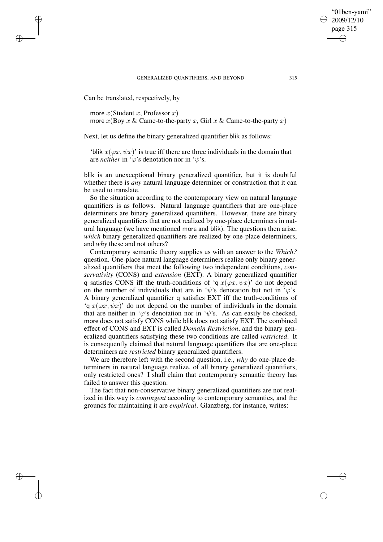#### GENERALIZED QUANTIFIERS, AND BEYOND 315

Can be translated, respectively, by

✐

✐

✐

✐

more  $x$ (Student x, Professor x) more  $x(\text{Boy } x \& \text{Came-to-the-party } x, \text{Girl } x \& \text{Came-to-the-party } x)$ 

Next, let us define the binary generalized quantifier blik as follows:

'blik  $x(\varphi x, \psi x)$ ' is true iff there are three individuals in the domain that are *neither* in ' $\varphi$ 's denotation nor in ' $\psi$ 's.

blik is an unexceptional binary generalized quantifier, but it is doubtful whether there is *any* natural language determiner or construction that it can be used to translate.

So the situation according to the contemporary view on natural language quantifiers is as follows. Natural language quantifiers that are one-place determiners are binary generalized quantifiers. However, there are binary generalized quantifiers that are not realized by one-place determiners in natural language (we have mentioned more and blik). The questions then arise, *which* binary generalized quantifiers are realized by one-place determiners, and *why* these and not others?

Contemporary semantic theory supplies us with an answer to the *Which?* question. One-place natural language determiners realize only binary generalized quantifiers that meet the following two independent conditions, *conservativity* (CONS) and *extension* (EXT). A binary generalized quantifier q satisfies CONS iff the truth-conditions of 'q  $x(\varphi x, \psi x)$ ' do not depend on the number of individuals that are in ' $\psi$ 's denotation but not in ' $\varphi$ 's. A binary generalized quantifier q satisfies EXT iff the truth-conditions of 'q  $x(\varphi x, \psi x)$ ' do not depend on the number of individuals in the domain that are neither in ' $\varphi$ 's denotation nor in ' $\psi$ 's. As can easily be checked, more does not satisfy CONS while blik does not satisfy EXT. The combined effect of CONS and EXT is called *Domain Restriction*, and the binary generalized quantifiers satisfying these two conditions are called *restricted*. It is consequently claimed that natural language quantifiers that are one-place determiners are *restricted* binary generalized quantifiers.

We are therefore left with the second question, i.e., *why* do one-place determiners in natural language realize, of all binary generalized quantifiers, only restricted ones? I shall claim that contemporary semantic theory has failed to answer this question.

The fact that non-conservative binary generalized quantifiers are not realized in this way is *contingent* according to contemporary semantics, and the grounds for maintaining it are *empirical*. Glanzberg, for instance, writes:

"01ben-yami" 2009/12/10 page 315

✐

✐

✐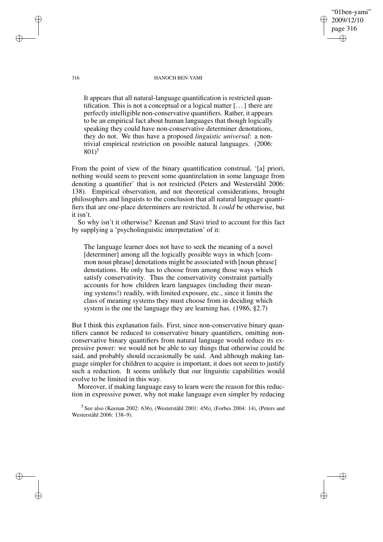#### 316 HANOCH BEN-YAMI

"01ben-yami" 2009/12/10 page 316

✐

✐

✐

✐

It appears that all natural-language quantification is restricted quantification. This is not a conceptual or a logical matter [. . .] there are perfectly intelligible non-conservative quantifiers. Rather, it appears to be an empirical fact about human languages that though logically speaking they could have non-conservative determiner denotations, they do not. We thus have a proposed *linguistic universal*: a nontrivial empirical restriction on possible natural languages. (2006:  $801$ <sup>5</sup>

From the point of view of the binary quantification construal, '[a] priori, nothing would seem to prevent some quantirelation in some language from denoting a quantifier' that is not restricted (Peters and Westerståhl 2006: 138). Empirical observation, and not theoretical considerations, brought philosophers and linguists to the conclusion that all natural language quantifiers that are one-place determiners are restricted. It *could* be otherwise, but it isn't.

So why isn't it otherwise? Keenan and Stavi tried to account for this fact by supplying a 'psycholinguistic interpretation' of it:

The language learner does not have to seek the meaning of a novel [determiner] among all the logically possible ways in which [common noun phrase] denotations might be associated with [noun phrase] denotations. He only has to choose from among those ways which satisfy conservativity. Thus the conservativity constraint partially accounts for how children learn languages (including their meaning systems!) readily, with limited exposure, etc., since it limits the class of meaning systems they must choose from in deciding which system is the one the language they are learning has. (1986, §2.7)

But I think this explanation fails. First, since non-conservative binary quantifiers cannot be reduced to conservative binary quantifiers, omitting nonconservative binary quantifiers from natural language would reduce its expressive power: we would not be able to say things that otherwise could be said, and probably should occasionally be said. And although making language simpler for children to acquire is important, it does not seem to justify such a reduction. It seems unlikely that our linguistic capabilities would evolve to be limited in this way.

Moreover, if making language easy to learn were the reason for this reduction in expressive power, why not make language even simpler by reducing

5 See also (Keenan 2002: 636), (Westerståhl 2001: 456), (Forbes 2004: 14), (Peters and Westerståhl 2006: 138–9).

✐

✐

✐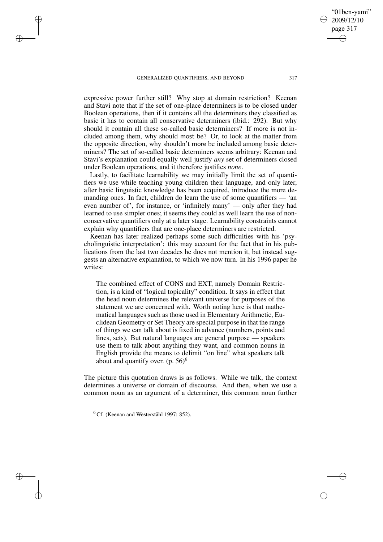#### GENERALIZED QUANTIFIERS, AND BEYOND 317

✐

✐

✐

✐

expressive power further still? Why stop at domain restriction? Keenan and Stavi note that if the set of one-place determiners is to be closed under Boolean operations, then if it contains all the determiners they classified as basic it has to contain all conservative determiners (ibid.: 292). But why should it contain all these so-called basic determiners? If more is not included among them, why should most be? Or, to look at the matter from the opposite direction, why shouldn't more be included among basic determiners? The set of so-called basic determiners seems arbitrary: Keenan and Stavi's explanation could equally well justify *any* set of determiners closed under Boolean operations, and it therefore justifies *none*.

Lastly, to facilitate learnability we may initially limit the set of quantifiers we use while teaching young children their language, and only later, after basic linguistic knowledge has been acquired, introduce the more demanding ones. In fact, children do learn the use of some quantifiers — 'an even number of', for instance, or 'infinitely many' — only after they had learned to use simpler ones; it seems they could as well learn the use of nonconservative quantifiers only at a later stage. Learnability constraints cannot explain why quantifiers that are one-place determiners are restricted.

Keenan has later realized perhaps some such difficulties with his 'psycholinguistic interpretation': this may account for the fact that in his publications from the last two decades he does not mention it, but instead suggests an alternative explanation, to which we now turn. In his 1996 paper he writes:

The combined effect of CONS and EXT, namely Domain Restriction, is a kind of "logical topicality" condition. It says in effect that the head noun determines the relevant universe for purposes of the statement we are concerned with. Worth noting here is that mathematical languages such as those used in Elementary Arithmetic, Euclidean Geometry or Set Theory are special purpose in that the range of things we can talk about is fixed in advance (numbers, points and lines, sets). But natural languages are general purpose — speakers use them to talk about anything they want, and common nouns in English provide the means to delimit "on line" what speakers talk about and quantify over.  $(p. 56)^6$ 

The picture this quotation draws is as follows. While we talk, the context determines a universe or domain of discourse. And then, when we use a common noun as an argument of a determiner, this common noun further

<sup>6</sup> Cf. (Keenan and Westerståhl 1997: 852).

"01ben-yami" 2009/12/10 page 317

✐

✐

✐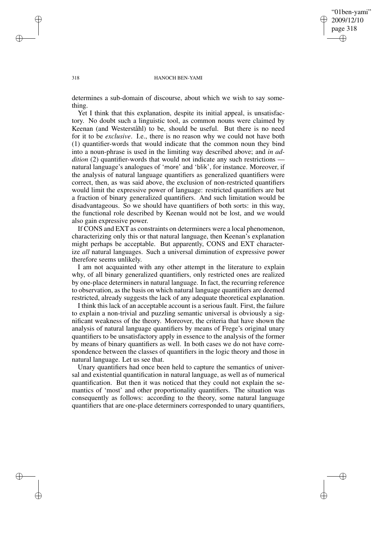✐

### 318 HANOCH BEN-YAMI

determines a sub-domain of discourse, about which we wish to say something.

Yet I think that this explanation, despite its initial appeal, is unsatisfactory. No doubt such a linguistic tool, as common nouns were claimed by Keenan (and Westerståhl) to be, should be useful. But there is no need for it to be *exclusive*. I.e., there is no reason why we could not have both (1) quantifier-words that would indicate that the common noun they bind into a noun-phrase is used in the limiting way described above; and *in addition* (2) quantifier-words that would not indicate any such restrictions natural language's analogues of 'more' and 'blik', for instance. Moreover, if the analysis of natural language quantifiers as generalized quantifiers were correct, then, as was said above, the exclusion of non-restricted quantifiers would limit the expressive power of language: restricted quantifiers are but a fraction of binary generalized quantifiers. And such limitation would be disadvantageous. So we should have quantifiers of both sorts: in this way, the functional role described by Keenan would not be lost, and we would also gain expressive power.

If CONS and EXT as constraints on determiners were a local phenomenon, characterizing only this or that natural language, then Keenan's explanation might perhaps be acceptable. But apparently, CONS and EXT characterize *all* natural languages. Such a universal diminution of expressive power therefore seems unlikely.

I am not acquainted with any other attempt in the literature to explain why, of all binary generalized quantifiers, only restricted ones are realized by one-place determiners in natural language. In fact, the recurring reference to observation, as the basis on which natural language quantifiers are deemed restricted, already suggests the lack of any adequate theoretical explanation.

I think this lack of an acceptable account is a serious fault. First, the failure to explain a non-trivial and puzzling semantic universal is obviously a significant weakness of the theory. Moreover, the criteria that have shown the analysis of natural language quantifiers by means of Frege's original unary quantifiers to be unsatisfactory apply in essence to the analysis of the former by means of binary quantifiers as well. In both cases we do not have correspondence between the classes of quantifiers in the logic theory and those in natural language. Let us see that.

Unary quantifiers had once been held to capture the semantics of universal and existential quantification in natural language, as well as of numerical quantification. But then it was noticed that they could not explain the semantics of 'most' and other proportionality quantifiers. The situation was consequently as follows: according to the theory, some natural language quantifiers that are one-place determiners corresponded to unary quantifiers,

✐

✐

✐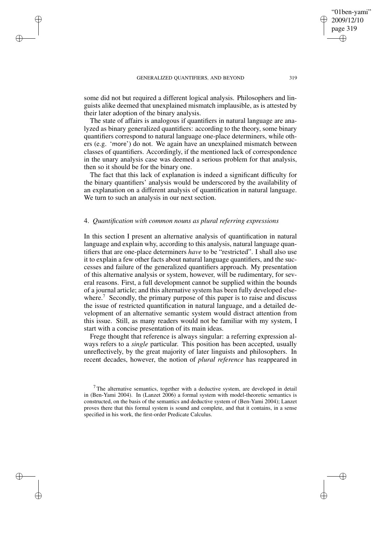### GENERALIZED QUANTIFIERS, AND BEYOND 319

✐

✐

✐

✐

some did not but required a different logical analysis. Philosophers and linguists alike deemed that unexplained mismatch implausible, as is attested by their later adoption of the binary analysis.

The state of affairs is analogous if quantifiers in natural language are analyzed as binary generalized quantifiers: according to the theory, some binary quantifiers correspond to natural language one-place determiners, while others (e.g. 'more') do not. We again have an unexplained mismatch between classes of quantifiers. Accordingly, if the mentioned lack of correspondence in the unary analysis case was deemed a serious problem for that analysis, then so it should be for the binary one.

The fact that this lack of explanation is indeed a significant difficulty for the binary quantifiers' analysis would be underscored by the availability of an explanation on a different analysis of quantification in natural language. We turn to such an analysis in our next section.

## 4. *Quantification with common nouns as plural referring expressions*

In this section I present an alternative analysis of quantification in natural language and explain why, according to this analysis, natural language quantifiers that are one-place determiners *have* to be "restricted". I shall also use it to explain a few other facts about natural language quantifiers, and the successes and failure of the generalized quantifiers approach. My presentation of this alternative analysis or system, however, will be rudimentary, for several reasons. First, a full development cannot be supplied within the bounds of a journal article; and this alternative system has been fully developed elsewhere.<sup>7</sup> Secondly, the primary purpose of this paper is to raise and discuss the issue of restricted quantification in natural language, and a detailed development of an alternative semantic system would distract attention from this issue. Still, as many readers would not be familiar with my system, I start with a concise presentation of its main ideas.

Frege thought that reference is always singular: a referring expression always refers to a *single* particular. This position has been accepted, usually unreflectively, by the great majority of later linguists and philosophers. In recent decades, however, the notion of *plural reference* has reappeared in

"01ben-yami" 2009/12/10 page 319

✐

✐

✐

 $7$ The alternative semantics, together with a deductive system, are developed in detail in (Ben-Yami 2004). In (Lanzet 2006) a formal system with model-theoretic semantics is constructed, on the basis of the semantics and deductive system of (Ben-Yami 2004); Lanzet proves there that this formal system is sound and complete, and that it contains, in a sense specified in his work, the first-order Predicate Calculus.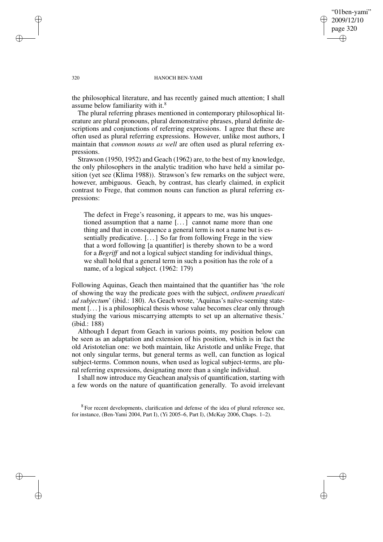"01ben-yami" 2009/12/10 page 320 ✐ ✐

✐

✐

### 320 HANOCH BEN-YAMI

the philosophical literature, and has recently gained much attention; I shall assume below familiarity with it.<sup>8</sup>

The plural referring phrases mentioned in contemporary philosophical literature are plural pronouns, plural demonstrative phrases, plural definite descriptions and conjunctions of referring expressions. I agree that these are often used as plural referring expressions. However, unlike most authors, I maintain that *common nouns as well* are often used as plural referring expressions.

Strawson (1950, 1952) and Geach (1962) are, to the best of my knowledge, the only philosophers in the analytic tradition who have held a similar position (yet see (Klima 1988)). Strawson's few remarks on the subject were, however, ambiguous. Geach, by contrast, has clearly claimed, in explicit contrast to Frege, that common nouns can function as plural referring expressions:

The defect in Frege's reasoning, it appears to me, was his unquestioned assumption that a name [. . .] cannot name more than one thing and that in consequence a general term is not a name but is essentially predicative. [. . .] So far from following Frege in the view that a word following [a quantifier] is thereby shown to be a word for a *Begriff* and not a logical subject standing for individual things, we shall hold that a general term in such a position has the role of a name, of a logical subject. (1962: 179)

Following Aquinas, Geach then maintained that the quantifier has 'the role of showing the way the predicate goes with the subject, *ordinem praedicati ad subjectum*' (ibid.: 180). As Geach wrote, 'Aquinas's naïve-seeming statement [. . .] is a philosophical thesis whose value becomes clear only through studying the various miscarrying attempts to set up an alternative thesis.' (ibid.: 188)

Although I depart from Geach in various points, my position below can be seen as an adaptation and extension of his position, which is in fact the old Aristotelian one: we both maintain, like Aristotle and unlike Frege, that not only singular terms, but general terms as well, can function as logical subject-terms. Common nouns, when used as logical subject-terms, are plural referring expressions, designating more than a single individual.

I shall now introduce my Geachean analysis of quantification, starting with a few words on the nature of quantification generally. To avoid irrelevant

 $8$  For recent developments, clarification and defense of the idea of plural reference see, for instance, (Ben-Yami 2004, Part I), (Yi 2005–6, Part I), (McKay 2006, Chaps. 1–2).

✐

✐

✐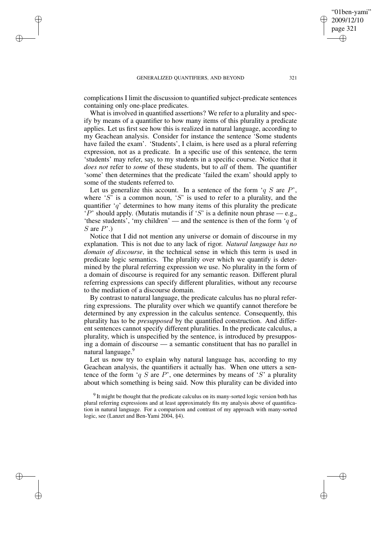✐

✐

✐

complications I limit the discussion to quantified subject-predicate sentences containing only one-place predicates.

What is involved in quantified assertions? We refer to a plurality and specify by means of a quantifier to how many items of this plurality a predicate applies. Let us first see how this is realized in natural language, according to my Geachean analysis. Consider for instance the sentence 'Some students have failed the exam'. 'Students', I claim, is here used as a plural referring expression, not as a predicate. In a specific use of this sentence, the term 'students' may refer, say, to my students in a specific course. Notice that it *does not* refer to *some* of these students, but to *all* of them. The quantifier 'some' then determines that the predicate 'failed the exam' should apply to some of the students referred to.

Let us generalize this account. In a sentence of the form  $q S$  are P', where 'S' is a common noun, 'S' is used to refer to a plurality, and the quantifier  $q'$  determines to how many items of this plurality the predicate 'P' should apply. (Mutatis mutandis if 'S' is a definite noun phrase  $-$  e.g., 'these students', 'my children' — and the sentence is then of the form 'q of  $S$  are  $P'$ .)

Notice that I did not mention any universe or domain of discourse in my explanation. This is not due to any lack of rigor. *Natural language has no domain of discourse*, in the technical sense in which this term is used in predicate logic semantics. The plurality over which we quantify is determined by the plural referring expression we use. No plurality in the form of a domain of discourse is required for any semantic reason. Different plural referring expressions can specify different pluralities, without any recourse to the mediation of a discourse domain.

By contrast to natural language, the predicate calculus has no plural referring expressions. The plurality over which we quantify cannot therefore be determined by any expression in the calculus sentence. Consequently, this plurality has to be *presupposed* by the quantified construction. And different sentences cannot specify different pluralities. In the predicate calculus, a plurality, which is unspecified by the sentence, is introduced by presupposing a domain of discourse — a semantic constituent that has no parallel in natural language.<sup>9</sup>

Let us now try to explain why natural language has, according to my Geachean analysis, the quantifiers it actually has. When one utters a sentence of the form 'q S are P', one determines by means of 'S' a plurality about which something is being said. Now this plurality can be divided into

"01ben-yami" 2009/12/10 page 321

✐

✐

✐

 $9$  It might be thought that the predicate calculus on its many-sorted logic version both has plural referring expressions and at least approximately fits my analysis above of quantification in natural language. For a comparison and contrast of my approach with many-sorted logic, see (Lanzet and Ben-Yami 2004, §4).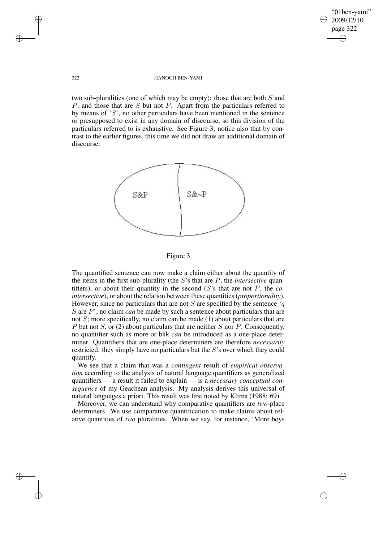✐

### 322 HANOCH BEN-YAMI

two sub-pluralities (one of which may be empty): those that are both S and P, and those that are S but not P. Apart from the particulars referred to by means of  $S'$ , no other particulars have been mentioned in the sentence or presupposed to exist in any domain of discourse, so this division of the particulars referred to is exhaustive. See Figure 3; notice also that by contrast to the earlier figures, this time we did not draw an additional domain of discourse:





The quantified sentence can now make a claim either about the quantity of the items in the first sub-plurality (the S's that are P, the *intersective* quantifiers), or about their quantity in the second (S's that are not P, the *cointersective*), or about the relation between these quantities (*proportionality*). However, since no particulars that are not  $S$  are specified by the sentence 'q S are P', no claim *can* be made by such a sentence about particulars that are not  $S$ ; more specifically, no claim can be made (1) about particulars that are P but not S, or (2) about particulars that are neither S nor P. Consequently, no quantifier such as more or blik *can* be introduced as a one-place determiner. Quantifiers that are one-place determiners are therefore *necessarily* restricted: they simply have no particulars but the S's over which they could quantify.

We see that a claim that was a *contingent* result of *empirical observation* according to the analysis of natural language quantifiers as generalized quantifiers — a result it failed to explain — is a *necessary conceptual consequence* of my Geachean analysis. My analysis derives this universal of natural languages a priori. This result was first noted by Klima (1988: 69).

Moreover, we can understand why comparative quantifiers are *two*-place determiners. We use comparative quantification to make claims about relative quantities of *two* pluralities. When we say, for instance, 'More boys

✐

✐

✐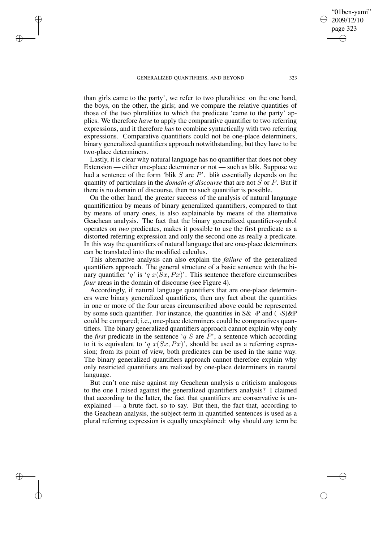✐

✐

✐

2009/12/10 page 323 ✐ ✐

✐

✐

"01ben-yami"

than girls came to the party', we refer to two pluralities: on the one hand, the boys, on the other, the girls; and we compare the relative quantities of those of the two pluralities to which the predicate 'came to the party' applies. We therefore *have* to apply the comparative quantifier to two referring expressions, and it therefore *has* to combine syntactically with two referring expressions. Comparative quantifiers could not be one-place determiners, binary generalized quantifiers approach notwithstanding, but they have to be two-place determiners.

Lastly, it is clear why natural language has no quantifier that does not obey Extension — either one-place determiner or not — such as blik. Suppose we had a sentence of the form 'blik  $S$  are  $P$ '. blik essentially depends on the quantity of particulars in the *domain of discourse* that are not S or P. But if there is no domain of discourse, then no such quantifier is possible.

On the other hand, the greater success of the analysis of natural language quantification by means of binary generalized quantifiers, compared to that by means of unary ones, is also explainable by means of the alternative Geachean analysis. The fact that the binary generalized quantifier-symbol operates on *two* predicates, makes it possible to use the first predicate as a distorted referring expression and only the second one as really a predicate. In this way the quantifiers of natural language that are one-place determiners can be translated into the modified calculus.

This alternative analysis can also explain the *failure* of the generalized quantifiers approach. The general structure of a basic sentence with the binary quantifier 'q' is 'q  $x(Sx, Px)$ '. This sentence therefore circumscribes *four* areas in the domain of discourse (see Figure 4).

Accordingly, if natural language quantifiers that are one-place determiners were binary generalized quantifiers, then any fact about the quantities in one or more of the four areas circumscribed above could be represented by some such quantifier. For instance, the quantities in  $S\&\neg P$  and  $(\neg S)\&P$ could be compared; i.e., one-place determiners could be comparatives quantifiers. The binary generalized quantifiers approach cannot explain why only the *first* predicate in the sentence ' $q S$  are  $\overline{P}$ ', a sentence which according to it is equivalent to 'q  $x(Sx, Px)$ ', should be used as a referring expression; from its point of view, both predicates can be used in the same way. The binary generalized quantifiers approach cannot therefore explain why only restricted quantifiers are realized by one-place determiners in natural language.

But can't one raise against my Geachean analysis a criticism analogous to the one I raised against the generalized quantifiers analysis? I claimed that according to the latter, the fact that quantifiers are conservative is unexplained — a brute fact, so to say. But then, the fact that, according to the Geachean analysis, the subject-term in quantified sentences is used as a plural referring expression is equally unexplained: why should *any* term be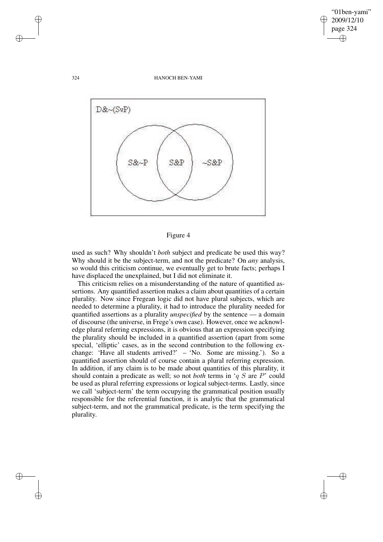✐

### 324 HANOCH BEN-YAMI



## Figure 4

used as such? Why shouldn't *both* subject and predicate be used this way? Why should it be the subject-term, and not the predicate? On *any* analysis, so would this criticism continue, we eventually get to brute facts; perhaps I have displaced the unexplained, but I did not eliminate it.

This criticism relies on a misunderstanding of the nature of quantified assertions. Any quantified assertion makes a claim about quantities of a certain plurality. Now since Fregean logic did not have plural subjects, which are needed to determine a plurality, it had to introduce the plurality needed for quantified assertions as a plurality *unspecified* by the sentence — a domain of discourse (the universe, in Frege's own case). However, once we acknowledge plural referring expressions, it is obvious that an expression specifying the plurality should be included in a quantified assertion (apart from some special, 'elliptic' cases, as in the second contribution to the following exchange: 'Have all students arrived?' – 'No. Some are missing.'). So a quantified assertion should of course contain a plural referring expression. In addition, if any claim is to be made about quantities of this plurality, it should contain a predicate as well; so not *both* terms in 'q S are P' could be used as plural referring expressions or logical subject-terms. Lastly, since we call 'subject-term' the term occupying the grammatical position usually responsible for the referential function, it is analytic that the grammatical subject-term, and not the grammatical predicate, is the term specifying the plurality.

✐

✐

✐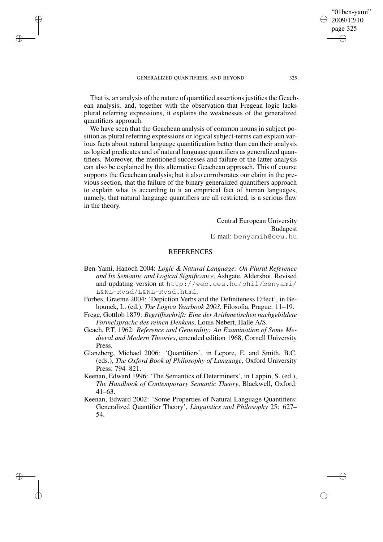✐

✐

✐

That is, an analysis of the nature of quantified assertions justifies the Geachean analysis; and, together with the observation that Fregean logic lacks plural referring expressions, it explains the weaknesses of the generalized quantifiers approach.

We have seen that the Geachean analysis of common nouns in subject position as plural referring expressions or logical subject-terms can explain various facts about natural language quantification better than can their analysis as logical predicates and of natural language quantifiers as generalized quantifiers. Moreover, the mentioned successes and failure of the latter analysis can also be explained by this alternative Geachean approach. This of course supports the Geachean analysis; but it also corroborates our claim in the previous section, that the failure of the binary generalized quantifiers approach to explain what is according to it an empirical fact of human languages, namely, that natural language quantifiers are all restricted, is a serious flaw in the theory.

> Central European University Budapest E-mail: benyamih@ceu.hu

## **REFERENCES**

- Ben-Yami, Hanoch 2004: *Logic & Natural Language: On Plural Reference and Its Semantic and Logical Significance*, Ashgate, Aldershot. Revised and updating version at http://web.ceu.hu/phil/benyami/ L&NL-Rvsd/L&NL-Rvsd.html.
- Forbes, Graeme 2004: 'Depiction Verbs and the Definiteness Effect', in Behounek, L. (ed.), *The Logica Yearbook 2003*, Filosofia, Prague: 11–19.
- Frege, Gottlob 1879: *Begriffsschrift: Eine der Arithmetischen nachgebildete Formelsprache des reinen Denkens*, Louis Nebert, Halle A/S.
- Geach, P.T. 1962: *Reference and Generality: An Examination of Some Medieval and Modern Theories*, emended edition 1968, Cornell University Press.
- Glanzberg, Michael 2006: 'Quantifiers', in Lepore, E. and Smith, B.C. (eds.), *The Oxford Book of Philosophy of Language*, Oxford University Press: 794–821.
- Keenan, Edward 1996: 'The Semantics of Determiners', in Lappin, S. (ed.), *The Handbook of Contemporary Semantic Theory*, Blackwell, Oxford: 41–63.
- Keenan, Edward 2002: 'Some Properties of Natural Language Quantifiers: Generalized Quantifier Theory', *Linguistics and Philosophy* 25: 627– 54.

"01ben-yami" 2009/12/10 page 325

✐

✐

✐